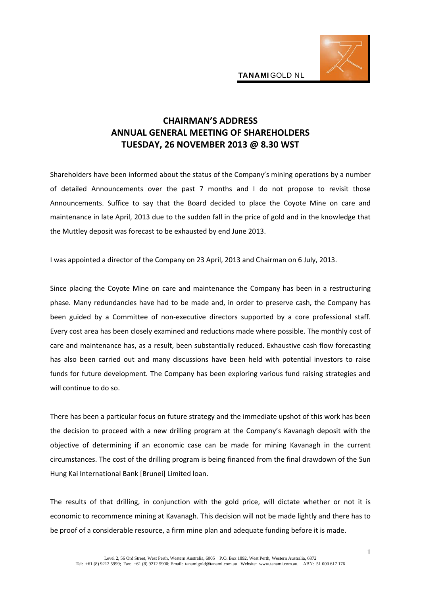

## **CHAIRMAN'S ADDRESS ANNUAL GENERAL MEETING OF SHAREHOLDERS TUESDAY, 26 NOVEMBER 2013 @ 8.30 WST**

Shareholders have been informed about the status of the Company's mining operations by a number of detailed Announcements over the past 7 months and I do not propose to revisit those Announcements. Suffice to say that the Board decided to place the Coyote Mine on care and maintenance in late April, 2013 due to the sudden fall in the price of gold and in the knowledge that the Muttley deposit was forecast to be exhausted by end June 2013.

I was appointed a director of the Company on 23 April, 2013 and Chairman on 6 July, 2013.

Since placing the Coyote Mine on care and maintenance the Company has been in a restructuring phase. Many redundancies have had to be made and, in order to preserve cash, the Company has been guided by a Committee of non-executive directors supported by a core professional staff. Every cost area has been closely examined and reductions made where possible. The monthly cost of care and maintenance has, as a result, been substantially reduced. Exhaustive cash flow forecasting has also been carried out and many discussions have been held with potential investors to raise funds for future development. The Company has been exploring various fund raising strategies and will continue to do so.

There has been a particular focus on future strategy and the immediate upshot of this work has been the decision to proceed with a new drilling program at the Company's Kavanagh deposit with the objective of determining if an economic case can be made for mining Kavanagh in the current circumstances. The cost of the drilling program is being financed from the final drawdown of the Sun Hung Kai International Bank [Brunei] Limited loan.

The results of that drilling, in conjunction with the gold price, will dictate whether or not it is economic to recommence mining at Kavanagh. This decision will not be made lightly and there has to be proof of a considerable resource, a firm mine plan and adequate funding before it is made.